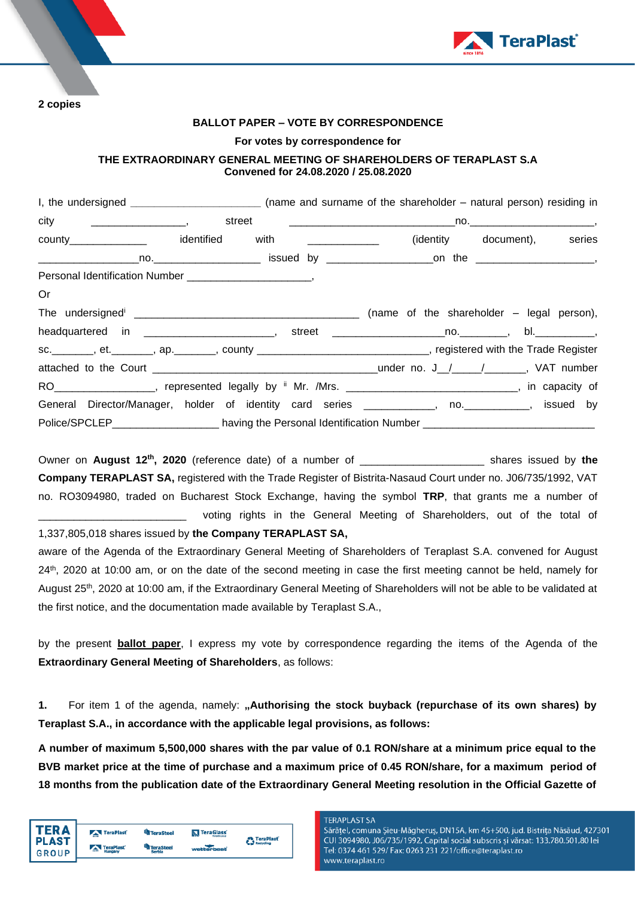

**2 copies** 

## **BALLOT PAPER – VOTE BY CORRESPONDENCE**

## **For votes by correspondence for**

## **THE EXTRAORDINARY GENERAL MEETING OF SHAREHOLDERS OF TERAPLAST S.A Convened for 24.08.2020 / 25.08.2020**

|                                                                                                                   | I, the undersigned ________________________________ (name and surname of the shareholder – natural person) residing in |  |                             |
|-------------------------------------------------------------------------------------------------------------------|------------------------------------------------------------------------------------------------------------------------|--|-----------------------------|
|                                                                                                                   |                                                                                                                        |  |                             |
| county________________ identified with _____________                                                              |                                                                                                                        |  | (identity document), series |
|                                                                                                                   |                                                                                                                        |  |                             |
|                                                                                                                   |                                                                                                                        |  |                             |
| <b>Or</b>                                                                                                         |                                                                                                                        |  |                             |
|                                                                                                                   |                                                                                                                        |  |                             |
|                                                                                                                   |                                                                                                                        |  |                             |
| sc. ________, et. _______, ap. _______, county ______________________________, registered with the Trade Register |                                                                                                                        |  |                             |
|                                                                                                                   |                                                                                                                        |  |                             |
| RO __________________, represented legally by ii Mr. /Mrs. ______________________________, in capacity of         |                                                                                                                        |  |                             |
| General Director/Manager, holder of identity card series ____________, no. __________, issued by                  |                                                                                                                        |  |                             |
| Police/SPCLEP______________________ having the Personal Identification Number ____________________________        |                                                                                                                        |  |                             |

Owner on **August 12 th , 2020** (reference date) of a number of \_\_\_\_\_\_\_\_\_\_\_\_\_\_\_\_\_\_\_\_\_ shares issued by **the Company TERAPLAST SA,** registered with the Trade Register of Bistrita-Nasaud Court under no. J06/735/1992, VAT no. RO3094980, traded on Bucharest Stock Exchange, having the symbol **TRP**, that grants me a number of voting rights in the General Meeting of Shareholders, out of the total of

1,337,805,018 shares issued by **the Company TERAPLAST SA,**

aware of the Agenda of the Extraordinary General Meeting of Shareholders of Teraplast S.A. convened for August 24<sup>th</sup>, 2020 at 10:00 am, or on the date of the second meeting in case the first meeting cannot be held, namely for August 25<sup>th</sup>, 2020 at 10:00 am, if the Extraordinary General Meeting of Shareholders will not be able to be validated at the first notice, and the documentation made available by Teraplast S.A.,

by the present **ballot paper**, I express my vote by correspondence regarding the items of the Agenda of the **Extraordinary General Meeting of Shareholders**, as follows:

**1.** For item 1 of the agenda, namely: **"Authorising the stock buyback (repurchase of its own shares) by Teraplast S.A., in accordance with the applicable legal provisions, as follows:**

**A number of maximum 5,500,000 shares with the par value of 0.1 RON/share at a minimum price equal to the BVB market price at the time of purchase and a maximum price of 0.45 RON/share, for a maximum period of 18 months from the publication date of the Extraordinary General Meeting resolution in the Official Gazette of** 

| 'FR A                        | TeraPlast | <sup>U</sup> n TeraSteel   | TeraGlass  | <b>n</b> TeraPlast   |
|------------------------------|-----------|----------------------------|------------|----------------------|
| <b>PLAST</b><br><b>GROUP</b> | TeraPlast | <b>TeraSteel</b><br>Serbia | wetterbeat | <b>Car Recycling</b> |
|                              |           |                            |            |                      |

## **TERAPLAST SA**

Sărățel, comuna Șieu-Măgheruș, DN15A, km 45+500, jud. Bistrița Năsăud, 427301 CUI 3094980, J06/735/1992, Capital social subscris și vărsat: 133.780.501,80 lei Tel: 0374 461 529/ Fax: 0263 231 221/office@teraplast.ro www.teraplast.ro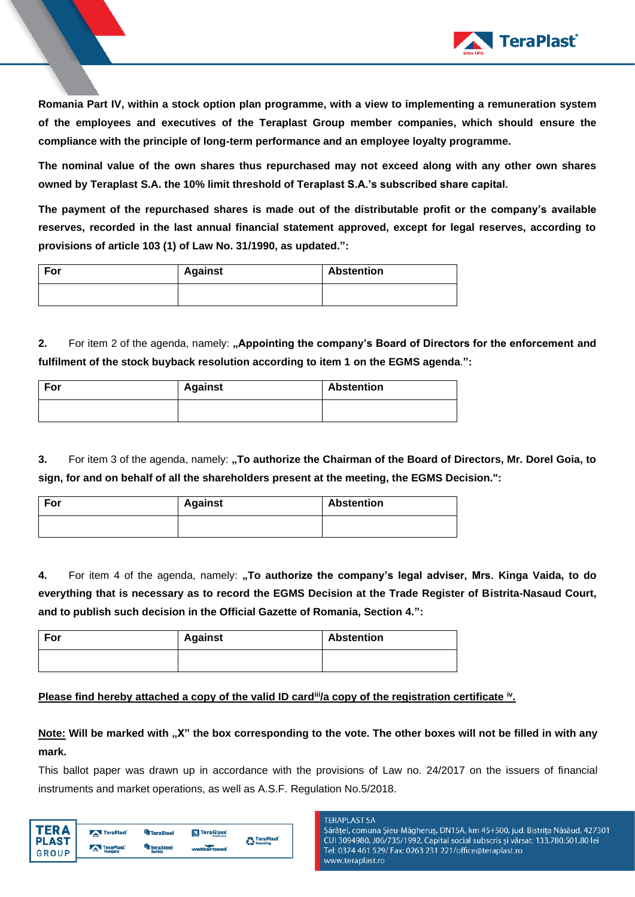

**Romania Part IV, within a stock option plan programme, with a view to implementing a remuneration system of the employees and executives of the Teraplast Group member companies, which should ensure the compliance with the principle of long-term performance and an employee loyalty programme.**

**The nominal value of the own shares thus repurchased may not exceed along with any other own shares owned by Teraplast S.A. the 10% limit threshold of Teraplast S.A.'s subscribed share capital.**

**The payment of the repurchased shares is made out of the distributable profit or the company's available reserves, recorded in the last annual financial statement approved, except for legal reserves, according to provisions of article 103 (1) of Law No. 31/1990, as updated.":**

| For | <b>Against</b> | <b>Abstention</b> |
|-----|----------------|-------------------|
|     |                |                   |

**2.** For item 2 of the agenda, namely: "Appointing the company's Board of Directors for the enforcement and **fulfilment of the stock buyback resolution according to item 1 on the EGMS agenda**.**":**

| For | <b>Against</b> | <b>Abstention</b> |
|-----|----------------|-------------------|
|     |                |                   |

**3.** For item 3 of the agenda, namely: "To authorize the Chairman of the Board of Directors, Mr. Dorel Goia, to **sign, for and on behalf of all the shareholders present at the meeting, the EGMS Decision.":**

| For | <b>Against</b> | <b>Abstention</b> |
|-----|----------------|-------------------|
|     |                |                   |

**4.** For item 4 of the agenda, namely: **"To authorize the company's legal adviser, Mrs. Kinga Vaida, to do everything that is necessary as to record the EGMS Decision at the Trade Register of Bistrita-Nasaud Court, and to publish such decision in the Official Gazette of Romania, Section 4.":**

| For | <b>Against</b> | <b>Abstention</b> |
|-----|----------------|-------------------|
|     |                |                   |

**Please find hereby attached a copy of the valid ID card<sup>iii</sup>/a copy of the registration certificate <sup>iv</sup>.** 

**Note: Will be marked with "X" the box corresponding to the vote. The other boxes will not be filled in with any mark.** 

This ballot paper was drawn up in accordance with the provisions of Law no. 24/2017 on the issuers of financial instruments and market operations, as well as A.S.F. Regulation No.5/2018.

| 'FR Δ                 | TeraPlast            | <sup>4</sup> TeraSteel     | <b>N</b> TeraGlass | <b>A</b> TeraPlast |
|-----------------------|----------------------|----------------------------|--------------------|--------------------|
| <b>PLAST</b><br>GROUP | TeraPlast<br>Hungary | <b>TeraSteel</b><br>Serbia | <b>wetterbeat</b>  | Recycling          |
|                       |                      |                            |                    |                    |

**TERAPLAST SA** 

Sărățel, comuna Șieu-Măgheruș, DN15A, km 45+500, jud. Bistrița Năsăud, 427301 CUI 3094980, J06/735/1992, Capital social subscris și vărsat: 133.780.501,80 lei Tel: 0374 461 529/ Fax: 0263 231 221/office@teraplast.ro www.teraplast.ro